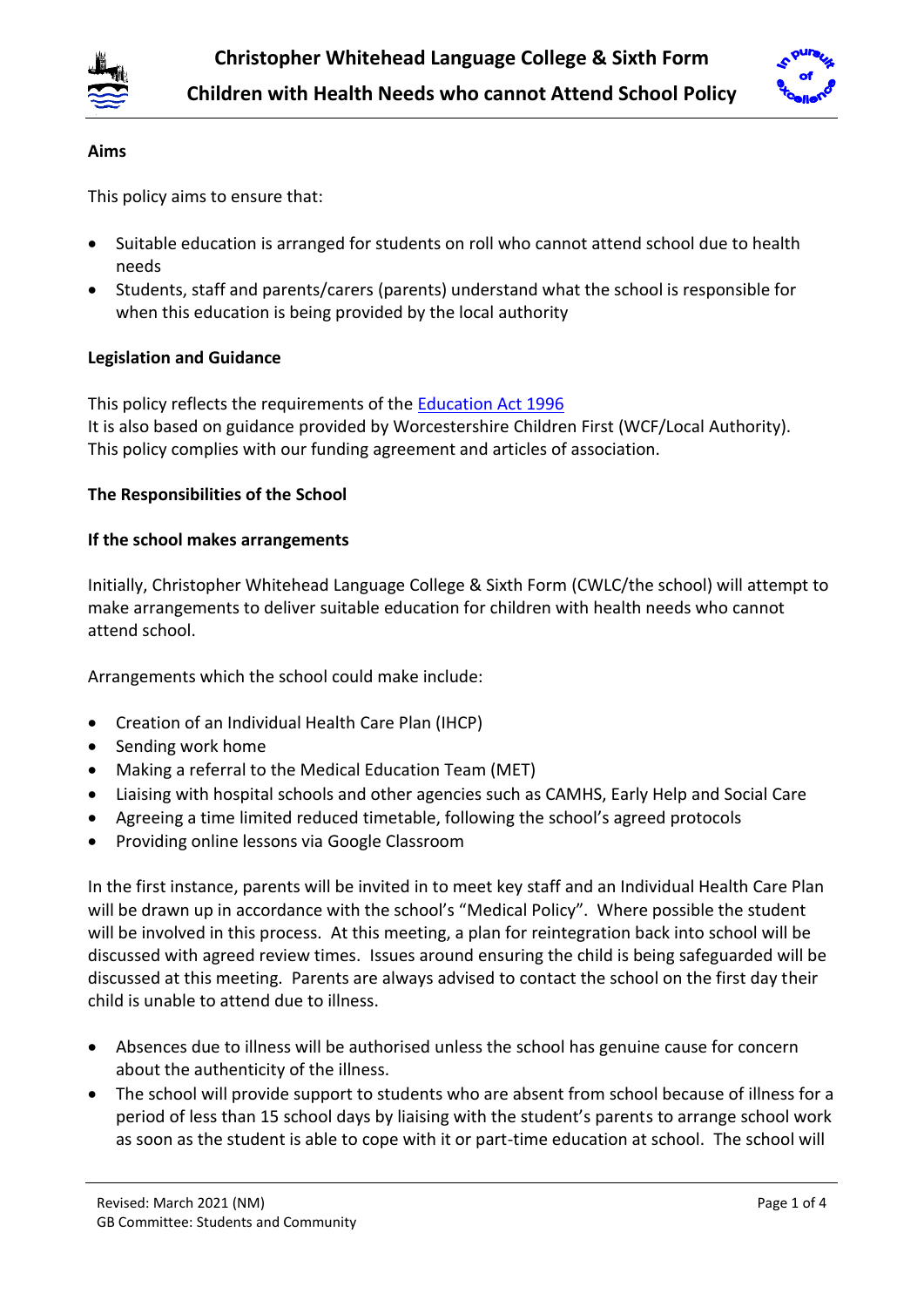



### **Aims**

This policy aims to ensure that:

- Suitable education is arranged for students on roll who cannot attend school due to health needs
- Students, staff and parents/carers (parents) understand what the school is responsible for when this education is being provided by the local authority

### **Legislation and Guidance**

This policy reflects the requirements of the [Education Act 1996](http://www.legislation.gov.uk/ukpga/1996/56/section/19) It is also based on guidance provided by Worcestershire Children First (WCF/Local Authority). This policy complies with our funding agreement and articles of association.

### **The Responsibilities of the School**

### **If the school makes arrangements**

Initially, Christopher Whitehead Language College & Sixth Form (CWLC/the school) will attempt to make arrangements to deliver suitable education for children with health needs who cannot attend school.

Arrangements which the school could make include:

- Creation of an Individual Health Care Plan (IHCP)
- Sending work home
- Making a referral to the Medical Education Team (MET)
- Liaising with hospital schools and other agencies such as CAMHS, Early Help and Social Care
- Agreeing a time limited reduced timetable, following the school's agreed protocols
- Providing online lessons via Google Classroom

In the first instance, parents will be invited in to meet key staff and an Individual Health Care Plan will be drawn up in accordance with the school's "Medical Policy". Where possible the student will be involved in this process. At this meeting, a plan for reintegration back into school will be discussed with agreed review times. Issues around ensuring the child is being safeguarded will be discussed at this meeting. Parents are always advised to contact the school on the first day their child is unable to attend due to illness.

- Absences due to illness will be authorised unless the school has genuine cause for concern about the authenticity of the illness.
- The school will provide support to students who are absent from school because of illness for a period of less than 15 school days by liaising with the student's parents to arrange school work as soon as the student is able to cope with it or part-time education at school. The school will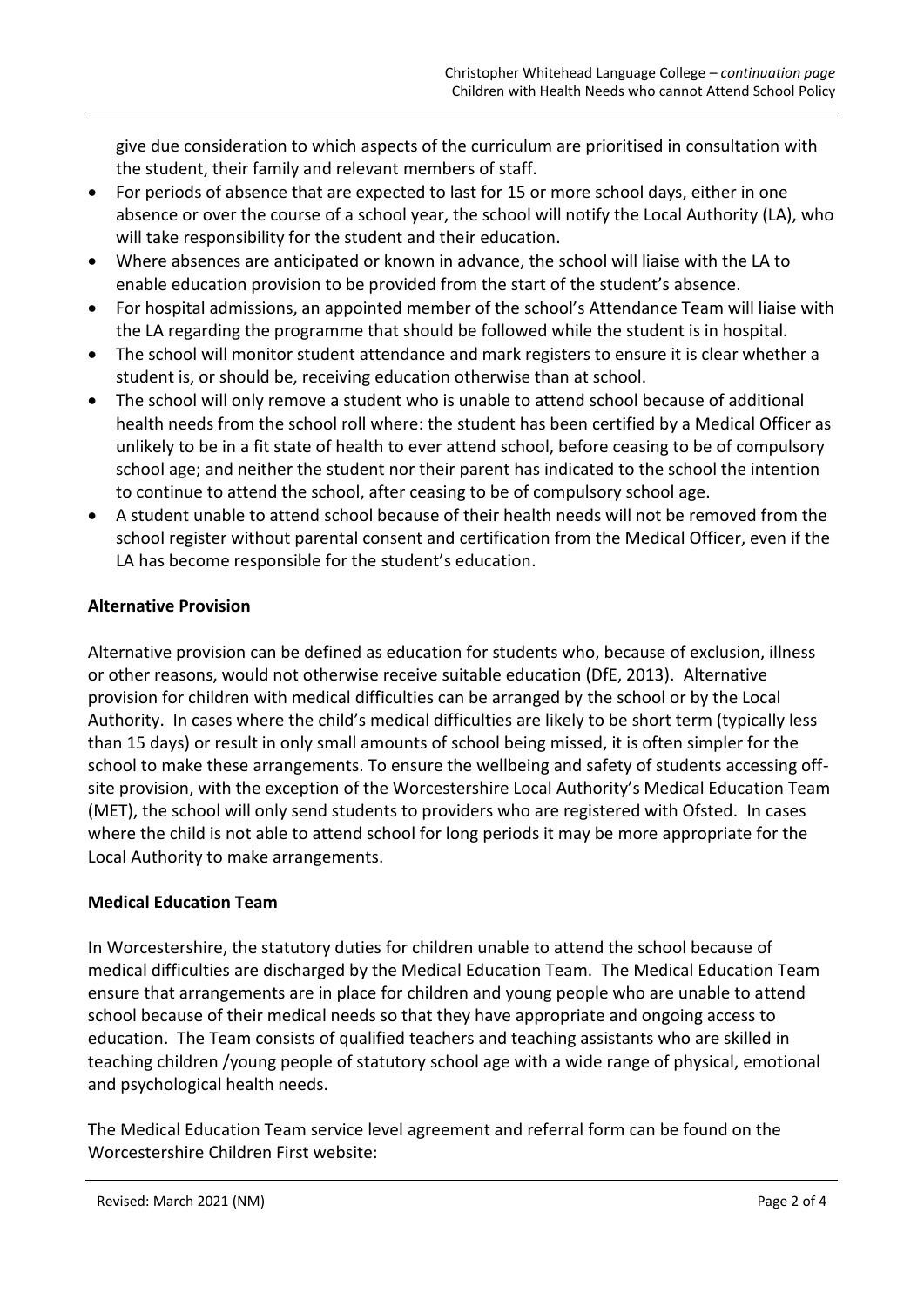give due consideration to which aspects of the curriculum are prioritised in consultation with the student, their family and relevant members of staff.

- For periods of absence that are expected to last for 15 or more school days, either in one absence or over the course of a school year, the school will notify the Local Authority (LA), who will take responsibility for the student and their education.
- Where absences are anticipated or known in advance, the school will liaise with the LA to enable education provision to be provided from the start of the student's absence.
- For hospital admissions, an appointed member of the school's Attendance Team will liaise with the LA regarding the programme that should be followed while the student is in hospital.
- The school will monitor student attendance and mark registers to ensure it is clear whether a student is, or should be, receiving education otherwise than at school.
- The school will only remove a student who is unable to attend school because of additional health needs from the school roll where: the student has been certified by a Medical Officer as unlikely to be in a fit state of health to ever attend school, before ceasing to be of compulsory school age; and neither the student nor their parent has indicated to the school the intention to continue to attend the school, after ceasing to be of compulsory school age.
- A student unable to attend school because of their health needs will not be removed from the school register without parental consent and certification from the Medical Officer, even if the LA has become responsible for the student's education.

## **Alternative Provision**

Alternative provision can be defined as education for students who, because of exclusion, illness or other reasons, would not otherwise receive suitable education (DfE, 2013). Alternative provision for children with medical difficulties can be arranged by the school or by the Local Authority. In cases where the child's medical difficulties are likely to be short term (typically less than 15 days) or result in only small amounts of school being missed, it is often simpler for the school to make these arrangements. To ensure the wellbeing and safety of students accessing offsite provision, with the exception of the Worcestershire Local Authority's Medical Education Team (MET), the school will only send students to providers who are registered with Ofsted. In cases where the child is not able to attend school for long periods it may be more appropriate for the Local Authority to make arrangements.

### **Medical Education Team**

In Worcestershire, the statutory duties for children unable to attend the school because of medical difficulties are discharged by the Medical Education Team. The Medical Education Team ensure that arrangements are in place for children and young people who are unable to attend school because of their medical needs so that they have appropriate and ongoing access to education. The Team consists of qualified teachers and teaching assistants who are skilled in teaching children /young people of statutory school age with a wide range of physical, emotional and psychological health needs.

The Medical Education Team service level agreement and referral form can be found on the Worcestershire Children First website: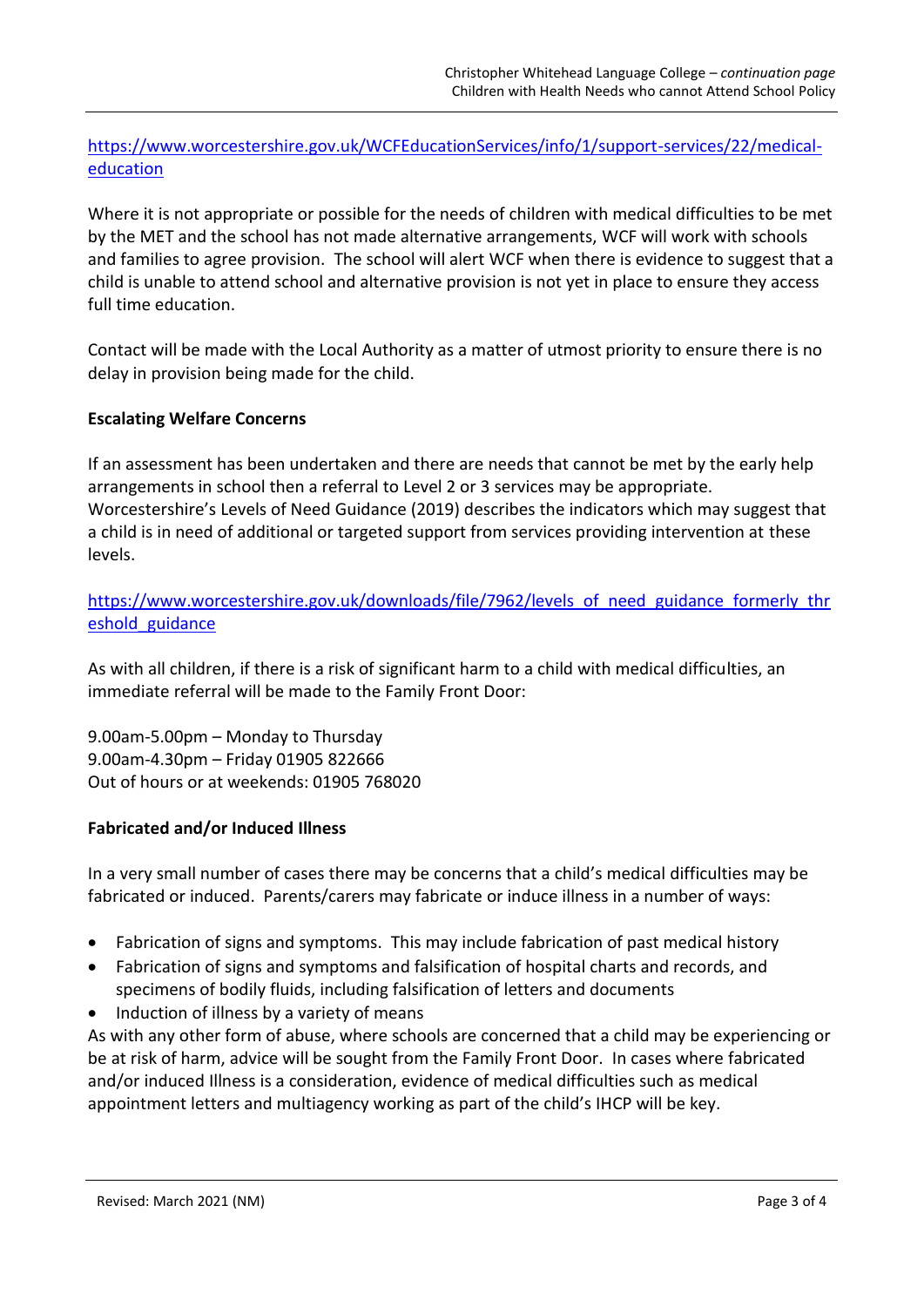# [https://www.worcestershire.gov.uk/WCFEducationServices/info/1/support-services/22/medical](https://www.worcestershire.gov.uk/WCFEducationServices/info/1/support-services/22/medical-education)[education](https://www.worcestershire.gov.uk/WCFEducationServices/info/1/support-services/22/medical-education)

Where it is not appropriate or possible for the needs of children with medical difficulties to be met by the MET and the school has not made alternative arrangements, WCF will work with schools and families to agree provision. The school will alert WCF when there is evidence to suggest that a child is unable to attend school and alternative provision is not yet in place to ensure they access full time education.

Contact will be made with the Local Authority as a matter of utmost priority to ensure there is no delay in provision being made for the child.

### **Escalating Welfare Concerns**

If an assessment has been undertaken and there are needs that cannot be met by the early help arrangements in school then a referral to Level 2 or 3 services may be appropriate. Worcestershire's Levels of Need Guidance (2019) describes the indicators which may suggest that a child is in need of additional or targeted support from services providing intervention at these levels.

[https://www.worcestershire.gov.uk/downloads/file/7962/levels\\_of\\_need\\_guidance\\_formerly\\_thr](https://www.worcestershire.gov.uk/downloads/file/7962/levels_of_need_guidance_formerly_threshold_guidance) [eshold\\_guidance](https://www.worcestershire.gov.uk/downloads/file/7962/levels_of_need_guidance_formerly_threshold_guidance)

As with all children, if there is a risk of significant harm to a child with medical difficulties, an immediate referral will be made to the Family Front Door:

9.00am-5.00pm – Monday to Thursday 9.00am-4.30pm – Friday 01905 822666 Out of hours or at weekends: 01905 768020

### **Fabricated and/or Induced Illness**

In a very small number of cases there may be concerns that a child's medical difficulties may be fabricated or induced. Parents/carers may fabricate or induce illness in a number of ways:

- Fabrication of signs and symptoms. This may include fabrication of past medical history
- Fabrication of signs and symptoms and falsification of hospital charts and records, and specimens of bodily fluids, including falsification of letters and documents
- Induction of illness by a variety of means

As with any other form of abuse, where schools are concerned that a child may be experiencing or be at risk of harm, advice will be sought from the Family Front Door. In cases where fabricated and/or induced Illness is a consideration, evidence of medical difficulties such as medical appointment letters and multiagency working as part of the child's IHCP will be key.